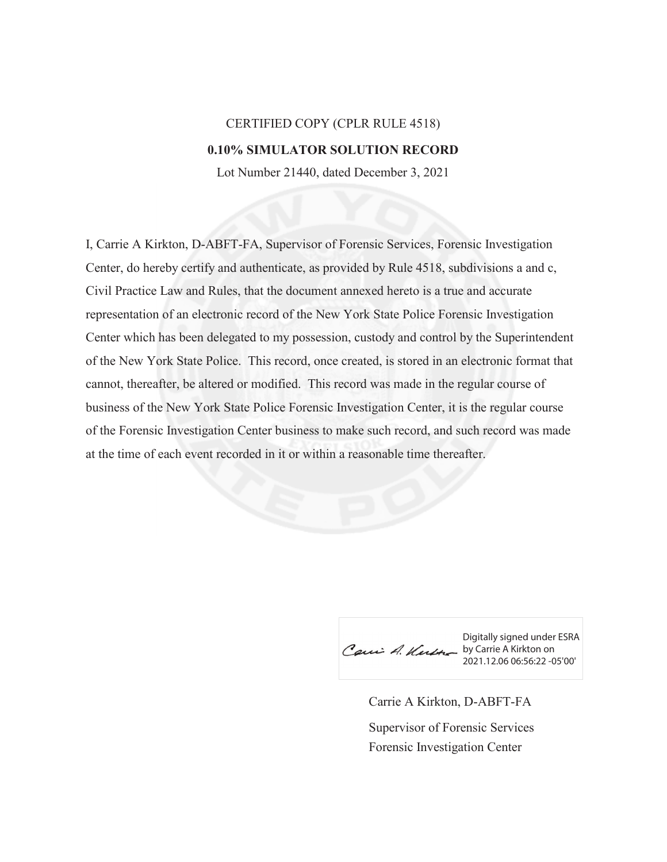## CERTIFIED COPY (CPLR RULE 4518) **0.10% SIMULATOR SOLUTION RECORD**

Lot Number 21440, dated December 3, 2021

I, Carrie A Kirkton, D-ABFT-FA, Supervisor of Forensic Services, Forensic Investigation Center, do hereby certify and authenticate, as provided by Rule 4518, subdivisions a and c, Civil Practice Law and Rules, that the document annexed hereto is a true and accurate representation of an electronic record of the New York State Police Forensic Investigation Center which has been delegated to my possession, custody and control by the Superintendent of the New York State Police. This record, once created, is stored in an electronic format that cannot, thereafter, be altered or modified. This record was made in the regular course of business of the New York State Police Forensic Investigation Center, it is the regular course of the Forensic Investigation Center business to make such record, and such record was made at the time of each event recorded in it or within a reasonable time thereafter.

Caui A. Kurth by Carrie A Kirkton on

Digitally signed under ESRA 2021.12.06 06:56:22 -05'00'

Carrie A Kirkton, D-ABFT-FA Forensic Investigation Center Supervisor of Forensic Services